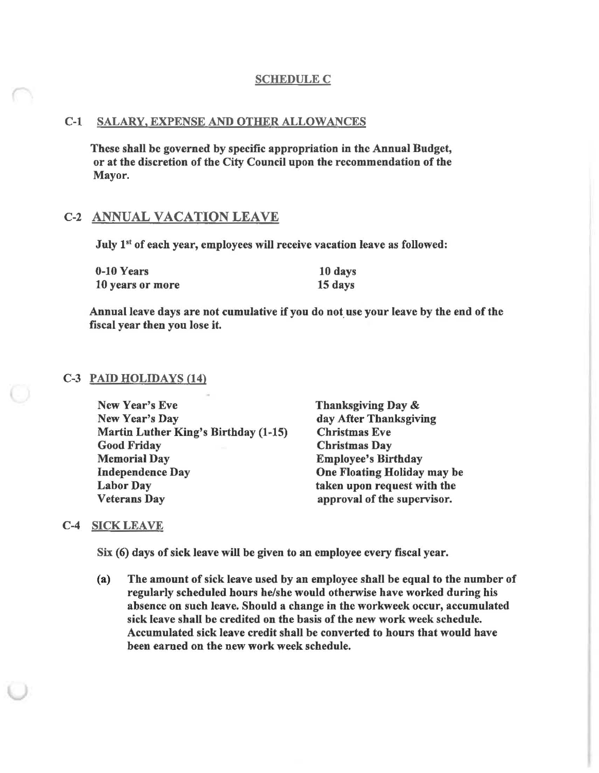### **SCHEDULE C**

## C-l SALARY, EXPENSE AND OTHER ALLOWANCES

These shall be governed by specific appropriation in the Annual Budget, or at the discretion of the City Council upon the recommendation of the Mayor.

# C-2 ANNUAL VACATION LEAVE

July 1<sup>st</sup> of each year, employees will receive vacation leave as followed:

| 0-10 Years       | 10 days |
|------------------|---------|
| 10 years or more | 15 days |

Annual leave days are not cumulative if you do not use your leave by the end of the fiscal year then you lose it.

#### C-3 PAID HOLIDAYS (14)

| New Year's Eve                       | Than  |
|--------------------------------------|-------|
| New Year's Day                       | day/  |
| Martin Luther King's Birthday (1-15) | Chris |
| <b>Good Friday</b>                   | Chris |
| <b>Memorial Day</b>                  | Empl  |
| <b>Independence Day</b>              | One 1 |
| <b>Labor Day</b>                     | taken |
| <b>Veterans Day</b>                  | appr  |

ksgiving Day & After Thanksgiving stmas Eve stmas Day loyee's Birthday **Floating Holiday may be** I upon request with the oval of the supervisor.

### C-4 SICK LEAVE

Six (6) days of sick leave will be given to an employee every fiscal year.

(a) The amount of sick leave used by an employee shall be equal to the number of regularly scheduled hours he/she would otherwise have worked during his absence on such leave. Should a change in the workweek occur, accumulated sick leave shall be credited on the basis of the new work week schedule. Accumulated sick leave credit shall be converted to hours that would have been earned on the new work week schedule.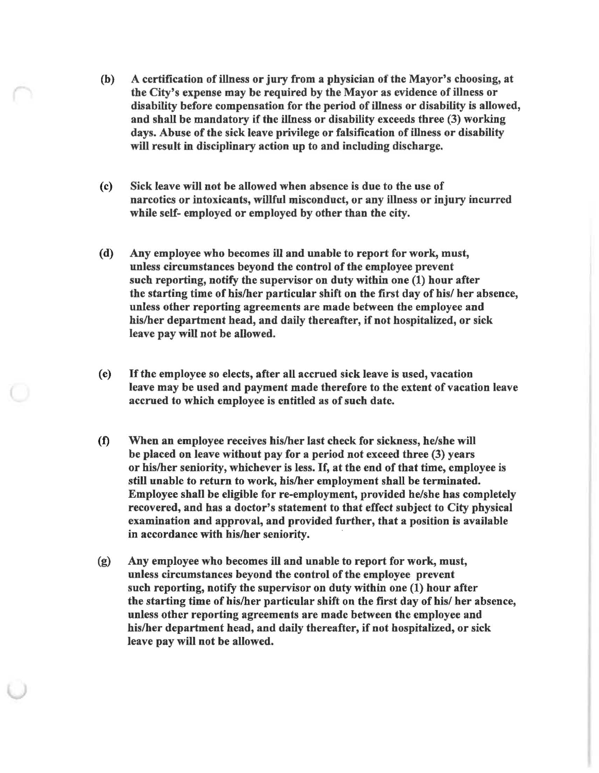- (b) A certification of illness or jury from a physician of the Mayor's choosing, at the City's expense may be required by the Mayor as evidence of illness or disability before compensation for the period of illness or disability is allowed, and shall be mandatory if the illness or disability exceeds three (3) working days. Abuse of the sick leave privilege or falsification of illness or disability will result in disciplinary action up to and including discharge.
- (c) Sick leave will not be allowed when absence is due to the use of narcotics or intoxicants, willful misconduct, or any illness or injury incurred while self- employed or employed by other than the city.
- (d) Any employee who becomes ill and unable to report for work, must, unless circumstances beyond the control of the employee prevent such reporting, notify the supervisor on duty within one (1) hour after the starting time of his/her particular shift on the first day of his/ her absence, unless other reporting agreements are made between the employee and his/her department head, and daily thereafter, if not hospitalized, or sick leave pay will not be allowed.
- (e) If the employee so elects, after all accrued sick leave is used, vacation leave may be used and payment made therefore to the extent of vacation leave accrued to which employee is entitled as of such date.
- (f) When an employee receives his/her last check for sickness, he/she will be placed on leave without pay for a period not exceed three (3) years or his/her seniority, whichever is less. If, at the end of that time, employee is still unable to return to work, his/her employment shall be terminated. Employee shall be eligible for re-employment, provided he/she has completely recovered, and has a doctor's statement to that effect subject to City physical examination and approval, and provided further, that a position is available in accordance with his/her seniority.
- (g) Any employee who hecomes ill and unable to report for work, must, unless circumstances beyond the control of the employee prevent such reporting, notify the supervisor on duty within one (1) hour after the starting time of his/her particular shift on the first day of his/ her absence, unless other reporting agreements are made between the employee and his/her department head, and daily thereafter, if not hospitalized, or sick leave pay will not be allowed.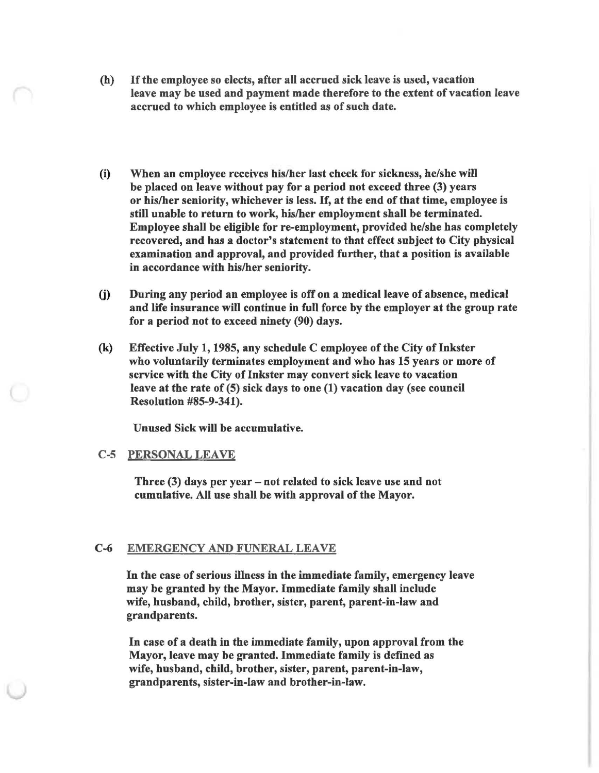- (h) If the employee so elects, after all accrued sick leave is used, vacation leave may be used and payment made therefore to the extent of vacation leave accrued to which employee is entitled as of such date.
- (i) When an employee receives his/her last check for sickness, he/she will be placed on leave without pay for a period not exceed three (3) years or his/her seniority, whichever is less. If, at the end of that time, employee is still unable to return to work, his/her employment shall be terminated. Employee shall be eligible for re-employment, provided he/she has completely recovered, and has a doctor's statement to that effect subject to City physical examination and approval, and provided further, that a position is available in accordance with his/her seniority.
- (j) During any period an employee is off on a medical leave of absence, medical and life insurance will continue in full force by the employer at the group rate for a period not to exceed ninety (90) days.
- (k) Effective July 1, 1985, any schedule C employee of the City of Inkster who voluntarily terminates employment and who has 15 years or more of service with the City of Inkster may convert sick leave to vacation leave at the rate of (5) sick days to one (1) vacation day (see council Resolution #85-9-341).

Unused Sick will be accumulative.

#### C-5 PERSONAL LEAVE

Three (3) days per year - not related to sick leave use and not cumulative. All use shall be with approval of the Mayor.

#### C-6 EMERGENCY AND FUNERAL LEAVE

In the case of serious illness in the immediate family, emergency leave may be granted by the Mayor. Immediate family shall include wife, husband, child, brother, sister, parent, parent-in-law and grandparents.

In case of a death in the immediate family, upon approval from the Mayor, leave may be granted. Immediate family is defined as wife, husband, child, brother, sister, parent, parent-in-law, grandparents, sister-in-law and brother-in-law.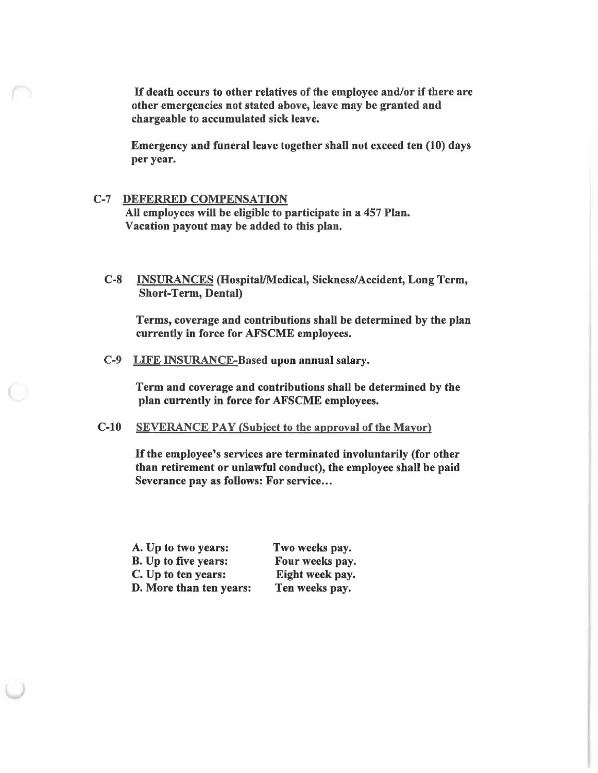If death occurs to other relatives of the employee and/or if there are other emergencies not stated above, leave may be granted and chargeable to accumulated sick leave.

Emergency and funeral leave together shall not exceed ten (10) days per year.

### C-7 DEFERRED COMPENSATION

All employees will be eligible to participate in a 457 Plan. Vacation payout may be added to this plan.

C-8 INSURANCES (Hospital/Medieal, Sickness/Accident, Long Term, Short-Term, Dental)

Terms, coverage and contributions shall be determined by the plan currently in force for AFSCME employees.

C-9 LIFE INSURANCE-Based upon annual salary.

Term and coverage and contributions shall be determined by the plan currently in force for AFSCME employees.

# C-IO SEVERANCE PAY (Subject to the approval of the Mayor)

If the employee's services are terminated involuntarily (for other than retirement or unlawful conduct), the employee shall be paid Severance pay as follows: For service...

| A. Up to two years:         | Two weeks pay.  |
|-----------------------------|-----------------|
| <b>B.</b> Up to five years: | Four weeks pay. |
| C. Up to ten years:         | Eight week pay. |
| D. More than ten years:     | Ten weeks pay.  |